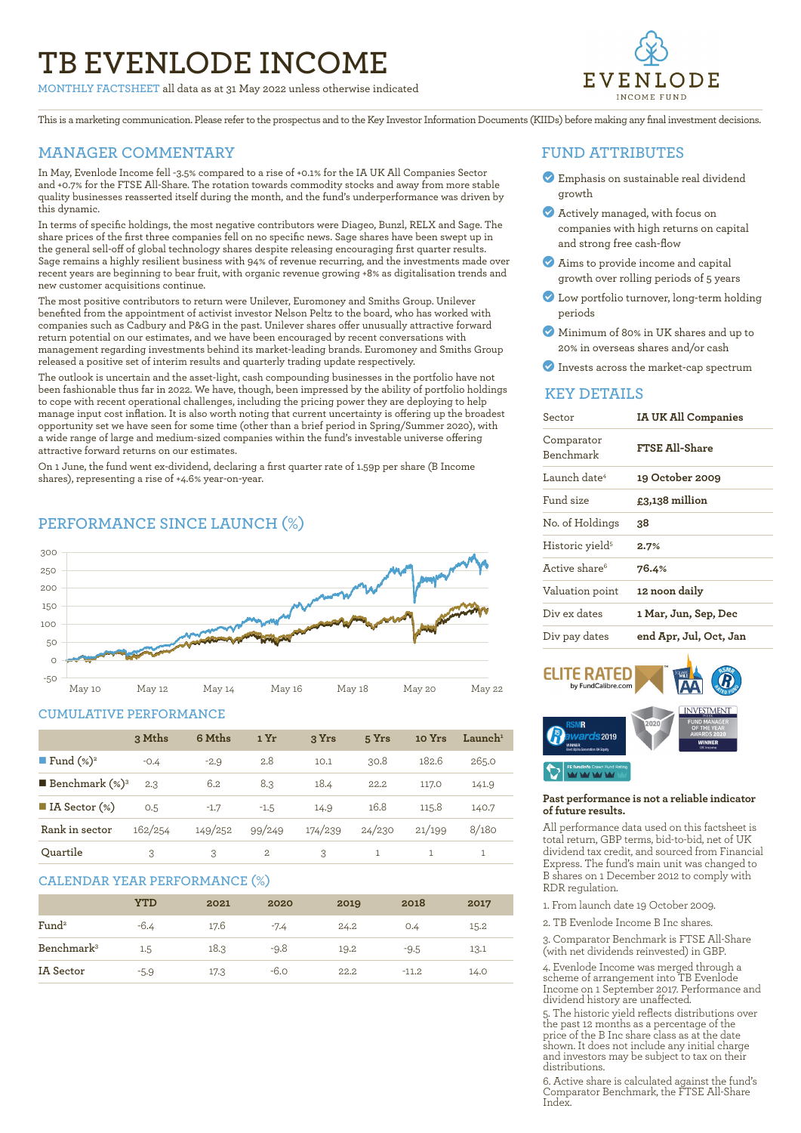# **TB EVENLODE INCOME**

**MONTHLY FACTSHEET** all data as at 31 May 2022 unless otherwise indicated



This is a marketing communication. Please refer to the prospectus and to the Key Investor Information Documents (KIIDs) before making any final investment decisions.

### **MANAGER COMMENTARY**

In May, Evenlode Income fell -3.5% compared to a rise of +0.1% for the IA UK All Companies Sector and +0.7% for the FTSE All-Share. The rotation towards commodity stocks and away from more stable quality businesses reasserted itself during the month, and the fund's underperformance was driven by this dynamic.

In terms of specific holdings, the most negative contributors were Diageo, Bunzl, RELX and Sage. The share prices of the first three companies fell on no specific news. Sage shares have been swept up in the general sell-off of global technology shares despite releasing encouraging first quarter results. Sage remains a highly resilient business with 94% of revenue recurring, and the investments made over recent years are beginning to bear fruit, with organic revenue growing +8% as digitalisation trends and new customer acquisitions continue.

The most positive contributors to return were Unilever, Euromoney and Smiths Group. Unilever benefited from the appointment of activist investor Nelson Peltz to the board, who has worked with companies such as Cadbury and P&G in the past. Unilever shares offer unusually attractive forward return potential on our estimates, and we have been encouraged by recent conversations with management regarding investments behind its market-leading brands. Euromoney and Smiths Group released a positive set of interim results and quarterly trading update respectively.

The outlook is uncertain and the asset-light, cash compounding businesses in the portfolio have not been fashionable thus far in 2022. We have, though, been impressed by the ability of portfolio holdings to cope with recent operational challenges, including the pricing power they are deploying to help manage input cost inflation. It is also worth noting that current uncertainty is offering up the broadest opportunity set we have seen for some time (other than a brief period in Spring/Summer 2020), with a wide range of large and medium-sized companies within the fund's investable universe offering attractive forward returns on our estimates.

On 1 June, the fund went ex-dividend, declaring a first quarter rate of 1.59p per share (B Income shares), representing a rise of +4.6% year-on-year.

## **PERFORMANCE SINCE LAUNCH (%)**



#### **CUMULATIVE PERFORMANCE**

|                                 | 3 Mths  | 6 Mths  | 1 Yr         | 3 Yrs   | 5 Yrs  | 10 Yrs | $\mathbf{L}$ aunch $^1$ |
|---------------------------------|---------|---------|--------------|---------|--------|--------|-------------------------|
| <b>Fund</b> $(\%)^2$            | $-0.4$  | $-2.9$  | 2.8          | 10.1    | 30.8   | 182.6  | 265.0                   |
| <b>Benchmark</b> $(\%)^3$       | 2.3     | 6.2     | 8.3          | 18.4    | 22.2   | 117.0  | 141.9                   |
| $\blacksquare$ IA Sector $(\%)$ | 0.5     | $-1.7$  | $-1.5$       | 14.9    | 16.8   | 115.8  | 140.7                   |
| Rank in sector                  | 162/254 | 149/252 | 99/249       | 174/239 | 24/230 | 21/199 | 8/180                   |
| Ouartile                        | 3       | 3       | $\mathbf{2}$ | 3       |        |        |                         |

#### **CALENDAR YEAR PERFORMANCE (%)**

|                        | <b>YTD</b> | 2021 | 2020   | 2019 | 2018    | 2017 |
|------------------------|------------|------|--------|------|---------|------|
| Fund <sup>2</sup>      | $-6.4$     | 17.6 | $-7.4$ | 24.2 | O.4     | 15.2 |
| Benchmark <sup>3</sup> | 1.5        | 18.3 | $-9.8$ | 19.2 | $-9.5$  | 13.1 |
| IA Sector              | $-5.9$     | 17.3 | $-6.0$ | 22.2 | $-11.2$ | 14.0 |

#### **FUND ATTRIBUTES**

- ? Emphasis on sustainable real dividend growth
- ? Actively managed, with focus on companies with high returns on capital and strong free cash-flow
- ? Aims to provide income and capital growth over rolling periods of 5 years
- ? Low portfolio turnover, long-term holding periods
- ? Minimum of 80% in UK shares and up to 20% in overseas shares and/or cash
- ? Invests across the market-cap spectrum

#### **KEY DETAILS**

| Sector                      | <b>IA UK All Companies</b> |  |  |
|-----------------------------|----------------------------|--|--|
| Comparator<br>Benchmark     | FTSE All-Share             |  |  |
| Launch date <sup>4</sup>    | 19 October 2009            |  |  |
| Fund size                   | £3,138 million             |  |  |
| No. of Holdings             | 38.                        |  |  |
| Historic yield <sup>5</sup> | 2.7%                       |  |  |
| Active share <sup>6</sup>   | 76.4%                      |  |  |
| Valuation point             | 12 noon daily              |  |  |
| Div ex dates                | 1 Mar, Jun, Sep, Dec       |  |  |
| Div pay dates               | end Apr, Jul, Oct, Jan     |  |  |



#### **Past performance is not a reliable indicator of future results.**

All performance data used on this factsheet is total return, GBP terms, bid-to-bid, net of UK dividend tax credit, and sourced from Financial Express. The fund's main unit was changed to B shares on 1 December 2012 to comply with RDR regulation.

- 1. From launch date 19 October 2009.
- 2. TB Evenlode Income B Inc shares.

3. Comparator Benchmark is FTSE All-Share (with net dividends reinvested) in GBP.

4. Evenlode Income was merged through a scheme of arrangement into TB Evenlode Income on 1 September 2017. Performance and dividend history are unaffected.

5. The historic yield reflects distributions over the past 12 months as a percentage of the price of the B Inc share class as at the date shown. It does not include any initial charge and investors may be subject to tax on their distributions.

6. Active share is calculated against the fund's Comparator Benchmark, the FTSE All-Share Index.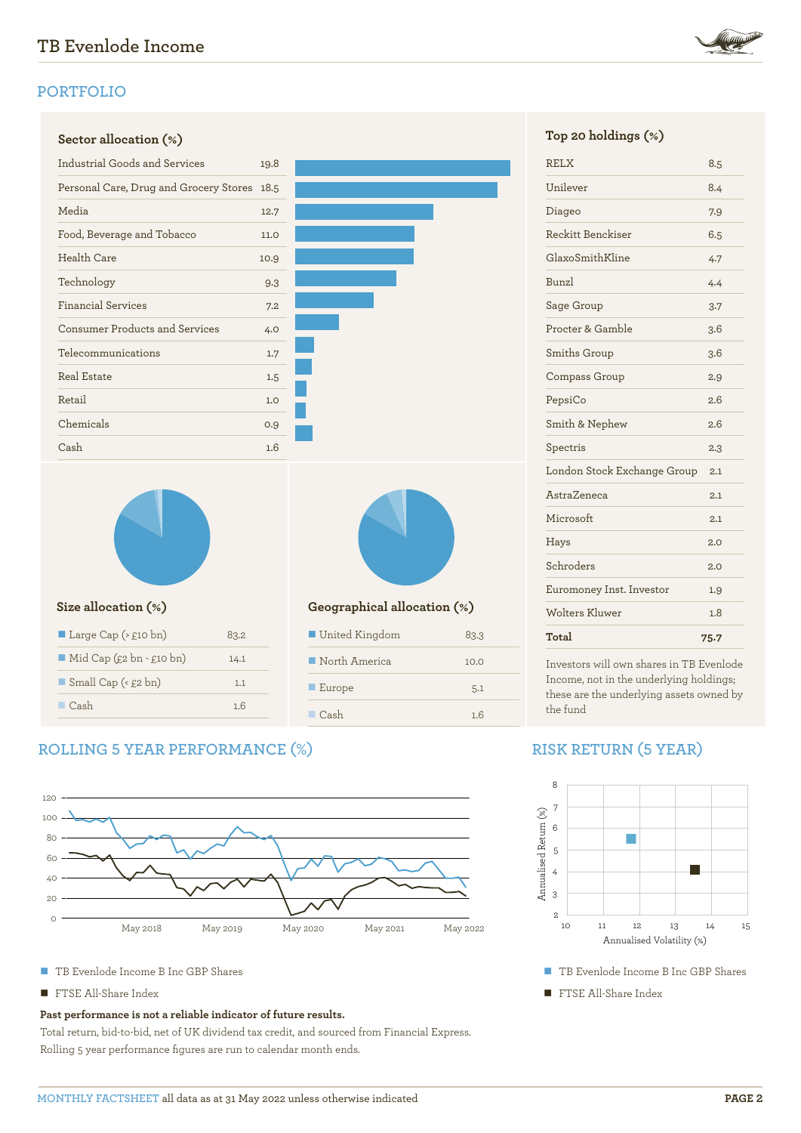# **PORTFOLIO**

| <b>Industrial Goods and Services</b>        | 19.8        |
|---------------------------------------------|-------------|
|                                             |             |
| Personal Care, Drug and Grocery Stores 18.5 |             |
| Media                                       | 12.7        |
| Food, Beverage and Tobacco                  | <b>11.0</b> |
| <b>Health Care</b>                          | 10.9        |
| Technology                                  | 9.3         |
| <b>Financial Services</b>                   | 7.2         |
| <b>Consumer Products and Services</b>       | 4.0         |
| Telecommunications                          | 1.7         |
| <b>Real Estate</b>                          | 1.5         |
| Retail                                      | 1.0         |
| Chemicals                                   | 0.9         |
| Cash                                        | 1.6         |
|                                             |             |
|                                             |             |

| Large Cap ( $\ge$ £10 bn)               | 83.2 |
|-----------------------------------------|------|
| $\blacksquare$ Mid Cap (£2 bn - £10 bn) | 14.1 |
| $\blacksquare$ Small Cap (< £2 bn)      | 1.1  |
| $\Box$ Cash                             | 1.6  |
|                                         |      |

### **Size allocation (%) Geographical allocation (%)**

| United Kingdom               | 83.3 |
|------------------------------|------|
| $\blacksquare$ North America | 10.0 |
| $\blacksquare$ Europe        | 5.1  |
| $\blacksquare$ Cash          | 1.6  |

# **ROLLING 5 YEAR PERFORMANCE (%)**



- TB Evenlode Income B Inc GBP Shares
- FTSE All-Share Index

#### **Past performance is not a reliable indicator of future results.**

Total return, bid-to-bid, net of UK dividend tax credit, and sourced from Financial Express. Rolling 5 year performance figures are run to calendar month ends.



| Total                       | 75.7 |
|-----------------------------|------|
| Wolters Kluwer              | 1.8  |
| Euromoney Inst. Investor    | 1.9  |
| Schroders                   | 2.0  |
| Hays                        | 2.0  |
| Microsoft                   | 2.1  |
| AstraZeneca                 | 2.1  |
| London Stock Exchange Group | 2.1  |
| Spectris                    | 2.3  |
| Smith & Nephew              | 2.6  |
| PepsiCo                     | 2.6  |
| Compass Group               | 2.9  |
| Smiths Group                | 3.6  |
| Procter & Gamble            | 3.6  |
| Sage Group                  | 3.7  |
| <b>Bunzl</b>                | 4.4  |
| GlaxoSmithKline             | 4.7  |
| Reckitt Benckiser           | 6.5  |
| Diageo                      | 7.9  |
| Unilever                    | 8.4  |
| <b>RELX</b>                 | 8.5  |

Investors will own shares in TB Evenlode Income, not in the underlying holdings; these are the underlying assets owned by the fund

# **RISK RETURN (5 YEAR)**



- TB Evenlode Income B Inc GBP Shares
- **TE FTSE All-Share Index**

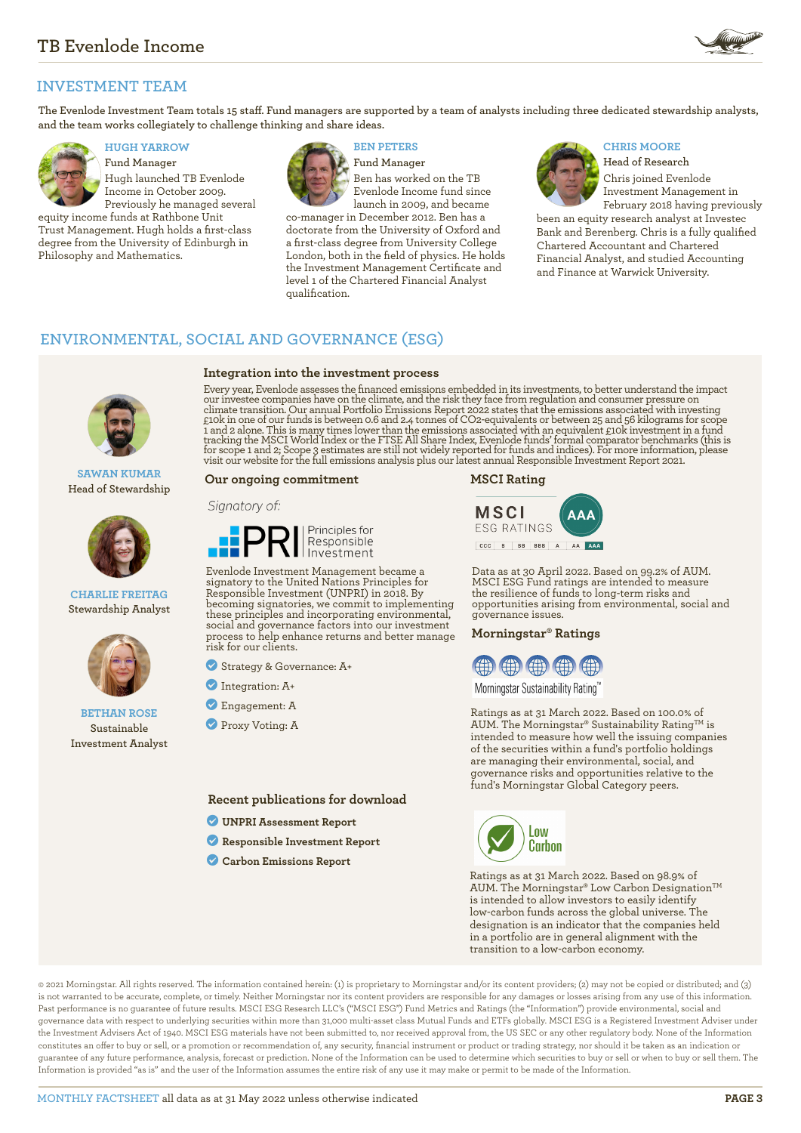

# **INVESTMENT TEAM**

**The Evenlode Investment Team totals 15 staff. Fund managers are supported by a team of analysts including three dedicated stewardship analysts, and the team works collegiately to challenge thinking and share ideas.**



**Fund Manager** Hugh launched TB Evenlode Income in October 2009. Previously he managed several

equity income funds at Rathbone Unit Trust Management. Hugh holds a first-class degree from the University of Edinburgh in Philosophy and Mathematics.



**Integration into the investment process**

**Fund Manager** Ben has worked on the TB Evenlode Income fund since launch in 2009, and became

co-manager in December 2012. Ben has a doctorate from the University of Oxford and a first-class degree from University College London, both in the field of physics. He holds the Investment Management Certificate and level 1 of the Chartered Financial Analyst qualification.

# **HUGH YARROW BEN PETERS CHRIS MOORE**



**Head of Research** Chris joined Evenlode Investment Management in

February 2018 having previously been an equity research analyst at Investec Bank and Berenberg. Chris is a fully qualified Chartered Accountant and Chartered Financial Analyst, and studied Accounting and Finance at Warwick University.

## **ENVIRONMENTAL, SOCIAL AND GOVERNANCE (ESG)**

**SAWAN KUMAR Head of Stewardship**



**CHARLIE FREITAG Stewardship Analyst**



#### **BETHAN ROSE Sustainable Investment Analyst**

Every year, Evenlode assesses the financed emissions embedded in its investments, to better understand the impact our investee companies have on the climate, and the risk they face from regulation and consumer pressure on climate transition. Our annual Portfolio Emissions Report 2022 states that the emissions associated with investing<br>£10k in one of our funds is between 0.6 and 2.4 tonnes of CO2-equivalents or between 25 and 56 kilograms fo

#### **Our ongoing commitment**

#### Signatory of:



Evenlode Investment Management became a signatory to the United Nations Principles for Responsible Investment (UNPRI) in 2018. By becoming signatories, we commit to implementing these principles and incorporating environmental, social and governance factors into our investment process to help enhance returns and better manage risk for our clients.

- ? Strategy & Governance: A+
- ? Integration: A+
- ? Engagement: A
- **Proxy Voting: A**

**Recent publications for download**

- ? **[UNPRI Assessment Report](https://evenlodeinvestment.com/resources/stewardship-assets/2020-Assessment-Report.pdf)**
- ? **[Responsible Investment Report](https://evenlodeinvestment.com/resources/stewardship-assets/Evenlode-Investment-Annual-Responsible-Investment-Report-2021.pdf)**
- ? **[Carbon Emissions Report](https://evenlodeinvestment.com/resources/stewardship-assets/Evenlode-Portfolio-Emissions-Report-2022.pdf)**

**MSCI Rating**



Data as at 30 April 2022. Based on 99.2% of AUM. MSCI ESG Fund ratings are intended to measure the resilience of funds to long-term risks and opportunities arising from environmental, social and governance issues.

#### **Morningstar® Ratings**



Morningstar Sustainability Rating™

Ratings as at 31 March 2022. Based on 100.0% of AUM. The Morningstar® Sustainability Rating<sup>TM</sup> is intended to measure how well the issuing companies of the securities within a fund's portfolio holdings are managing their environmental, social, and governance risks and opportunities relative to the fund's Morningstar Global Category peers.



Ratings as at 31 March 2022. Based on 98.9% of AUM. The Morningstar® Low Carbon Designation™ is intended to allow investors to easily identify low-carbon funds across the global universe. The designation is an indicator that the companies held in a portfolio are in general alignment with the transition to a low-carbon economy.

© 2021 Morningstar. All rights reserved. The information contained herein: (1) is proprietary to Morningstar and/or its content providers; (2) may not be copied or distributed; and (3) is not warranted to be accurate, complete, or timely. Neither Morningstar nor its content providers are responsible for any damages or losses arising from any use of this information. Past performance is no guarantee of future results. MSCI ESG Research LLC's ("MSCI ESG") Fund Metrics and Ratings (the "Information") provide environmental, social and governance data with respect to underlying securities within more than 31,000 multi-asset class Mutual Funds and ETFs globally. MSCI ESG is a Registered Investment Adviser under the Investment Advisers Act of 1940. MSCI ESG materials have not been submitted to, nor received approval from, the US SEC or any other regulatory body. None of the Information constitutes an offer to buy or sell, or a promotion or recommendation of, any security, financial instrument or product or trading strategy, nor should it be taken as an indication or guarantee of any future performance, analysis, forecast or prediction. None of the Information can be used to determine which securities to buy or sell or when to buy or sell them. The Information is provided "as is" and the user of the Information assumes the entire risk of any use it may make or permit to be made of the Information.